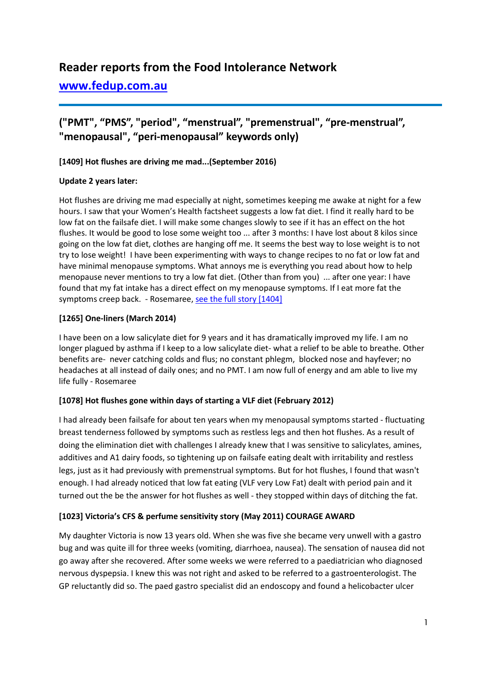# **Reader reports from the Food Intolerance Network**

## **[www.fedup.com.au](http://www.fedup.com.au/)**

## **("PMT", "PMS", "period", "menstrual", "premenstrual", "pre-menstrual", "menopausal", "peri-menopausal" keywords only)**

## **[1409] Hot flushes are driving me mad...(September 2016)**

#### **Update 2 years later:**

Hot flushes are driving me mad especially at night, sometimes keeping me awake at night for a few hours. I saw that your Women's Health factsheet suggests a low fat diet. I find it really hard to be low fat on the failsafe diet. I will make some changes slowly to see if it has an effect on the hot flushes. It would be good to lose some weight too ... after 3 months: I have lost about 8 kilos since going on the low fat diet, clothes are hanging off me. It seems the best way to lose weight is to not try to lose weight! I have been experimenting with ways to change recipes to no fat or low fat and have minimal menopause symptoms. What annoys me is everything you read about how to help menopause never mentions to try a low fat diet. (Other than from you) ... after one year: I have found that my fat intake has a direct effect on my menopause symptoms. If I eat more fat the symptoms creep back. - Rosemaree[, see the full story \[1404\]](http://www.fedup.com.au/stories/2016/1409-hot-flushes-are-driving-me-mad-september-2016)

## **[1265] One-liners (March 2014)**

I have been on a low salicylate diet for 9 years and it has dramatically improved my life. I am no longer plagued by asthma if I keep to a low salicylate diet- what a relief to be able to breathe. Other benefits are- never catching colds and flus; no constant phlegm, blocked nose and hayfever; no headaches at all instead of daily ones; and no PMT. I am now full of energy and am able to live my life fully - Rosemaree

#### **[1078] Hot flushes gone within days of starting a VLF diet (February 2012)**

I had already been failsafe for about ten years when my menopausal symptoms started - fluctuating breast tenderness followed by symptoms such as restless legs and then hot flushes. As a result of doing the elimination diet with challenges I already knew that I was sensitive to salicylates, amines, additives and A1 dairy foods, so tightening up on failsafe eating dealt with irritability and restless legs, just as it had previously with premenstrual symptoms. But for hot flushes, I found that wasn't enough. I had already noticed that low fat eating (VLF very Low Fat) dealt with period pain and it turned out the be the answer for hot flushes as well - they stopped within days of ditching the fat.

#### **[1023] Victoria's CFS & perfume sensitivity story (May 2011) COURAGE AWARD**

My daughter Victoria is now 13 years old. When she was five she became very unwell with a gastro bug and was quite ill for three weeks (vomiting, diarrhoea, nausea). The sensation of nausea did not go away after she recovered. After some weeks we were referred to a paediatrician who diagnosed nervous dyspepsia. I knew this was not right and asked to be referred to a gastroenterologist. The GP reluctantly did so. The paed gastro specialist did an endoscopy and found a helicobacter ulcer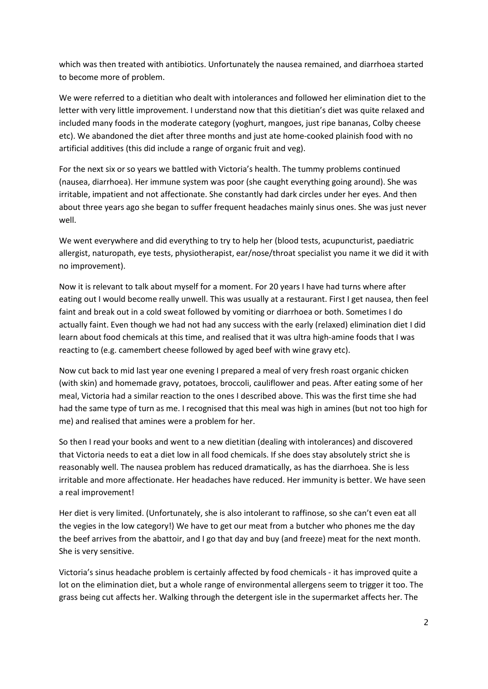which was then treated with antibiotics. Unfortunately the nausea remained, and diarrhoea started to become more of problem.

We were referred to a dietitian who dealt with intolerances and followed her elimination diet to the letter with very little improvement. I understand now that this dietitian's diet was quite relaxed and included many foods in the moderate category (yoghurt, mangoes, just ripe bananas, Colby cheese etc). We abandoned the diet after three months and just ate home-cooked plainish food with no artificial additives (this did include a range of organic fruit and veg).

For the next six or so years we battled with Victoria's health. The tummy problems continued (nausea, diarrhoea). Her immune system was poor (she caught everything going around). She was irritable, impatient and not affectionate. She constantly had dark circles under her eyes. And then about three years ago she began to suffer frequent headaches mainly sinus ones. She was just never well.

We went everywhere and did everything to try to help her (blood tests, acupuncturist, paediatric allergist, naturopath, eye tests, physiotherapist, ear/nose/throat specialist you name it we did it with no improvement).

Now it is relevant to talk about myself for a moment. For 20 years I have had turns where after eating out I would become really unwell. This was usually at a restaurant. First I get nausea, then feel faint and break out in a cold sweat followed by vomiting or diarrhoea or both. Sometimes I do actually faint. Even though we had not had any success with the early (relaxed) elimination diet I did learn about food chemicals at this time, and realised that it was ultra high-amine foods that I was reacting to (e.g. camembert cheese followed by aged beef with wine gravy etc).

Now cut back to mid last year one evening I prepared a meal of very fresh roast organic chicken (with skin) and homemade gravy, potatoes, broccoli, cauliflower and peas. After eating some of her meal, Victoria had a similar reaction to the ones I described above. This was the first time she had had the same type of turn as me. I recognised that this meal was high in amines (but not too high for me) and realised that amines were a problem for her.

So then I read your books and went to a new dietitian (dealing with intolerances) and discovered that Victoria needs to eat a diet low in all food chemicals. If she does stay absolutely strict she is reasonably well. The nausea problem has reduced dramatically, as has the diarrhoea. She is less irritable and more affectionate. Her headaches have reduced. Her immunity is better. We have seen a real improvement!

Her diet is very limited. (Unfortunately, she is also intolerant to raffinose, so she can't even eat all the vegies in the low category!) We have to get our meat from a butcher who phones me the day the beef arrives from the abattoir, and I go that day and buy (and freeze) meat for the next month. She is very sensitive.

Victoria's sinus headache problem is certainly affected by food chemicals - it has improved quite a lot on the elimination diet, but a whole range of environmental allergens seem to trigger it too. The grass being cut affects her. Walking through the detergent isle in the supermarket affects her. The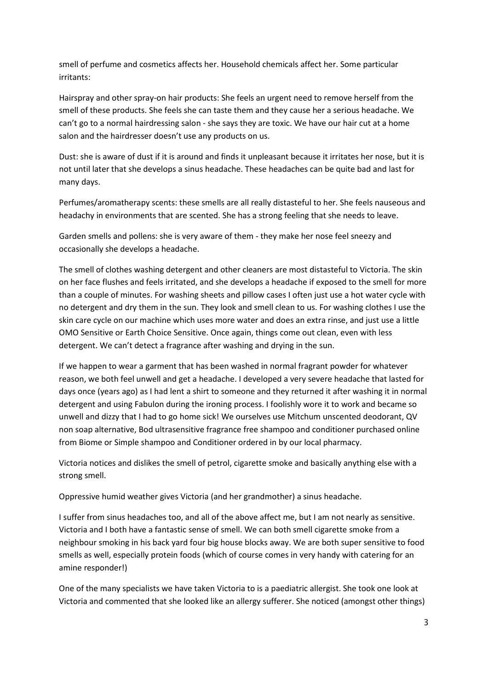smell of perfume and cosmetics affects her. Household chemicals affect her. Some particular irritants:

Hairspray and other spray-on hair products: She feels an urgent need to remove herself from the smell of these products. She feels she can taste them and they cause her a serious headache. We can't go to a normal hairdressing salon - she says they are toxic. We have our hair cut at a home salon and the hairdresser doesn't use any products on us.

Dust: she is aware of dust if it is around and finds it unpleasant because it irritates her nose, but it is not until later that she develops a sinus headache. These headaches can be quite bad and last for many days.

Perfumes/aromatherapy scents: these smells are all really distasteful to her. She feels nauseous and headachy in environments that are scented. She has a strong feeling that she needs to leave.

Garden smells and pollens: she is very aware of them - they make her nose feel sneezy and occasionally she develops a headache.

The smell of clothes washing detergent and other cleaners are most distasteful to Victoria. The skin on her face flushes and feels irritated, and she develops a headache if exposed to the smell for more than a couple of minutes. For washing sheets and pillow cases I often just use a hot water cycle with no detergent and dry them in the sun. They look and smell clean to us. For washing clothes I use the skin care cycle on our machine which uses more water and does an extra rinse, and just use a little OMO Sensitive or Earth Choice Sensitive. Once again, things come out clean, even with less detergent. We can't detect a fragrance after washing and drying in the sun.

If we happen to wear a garment that has been washed in normal fragrant powder for whatever reason, we both feel unwell and get a headache. I developed a very severe headache that lasted for days once (years ago) as I had lent a shirt to someone and they returned it after washing it in normal detergent and using Fabulon during the ironing process. I foolishly wore it to work and became so unwell and dizzy that I had to go home sick! We ourselves use Mitchum unscented deodorant, QV non soap alternative, Bod ultrasensitive fragrance free shampoo and conditioner purchased online from Biome or Simple shampoo and Conditioner ordered in by our local pharmacy.

Victoria notices and dislikes the smell of petrol, cigarette smoke and basically anything else with a strong smell.

Oppressive humid weather gives Victoria (and her grandmother) a sinus headache.

I suffer from sinus headaches too, and all of the above affect me, but I am not nearly as sensitive. Victoria and I both have a fantastic sense of smell. We can both smell cigarette smoke from a neighbour smoking in his back yard four big house blocks away. We are both super sensitive to food smells as well, especially protein foods (which of course comes in very handy with catering for an amine responder!)

One of the many specialists we have taken Victoria to is a paediatric allergist. She took one look at Victoria and commented that she looked like an allergy sufferer. She noticed (amongst other things)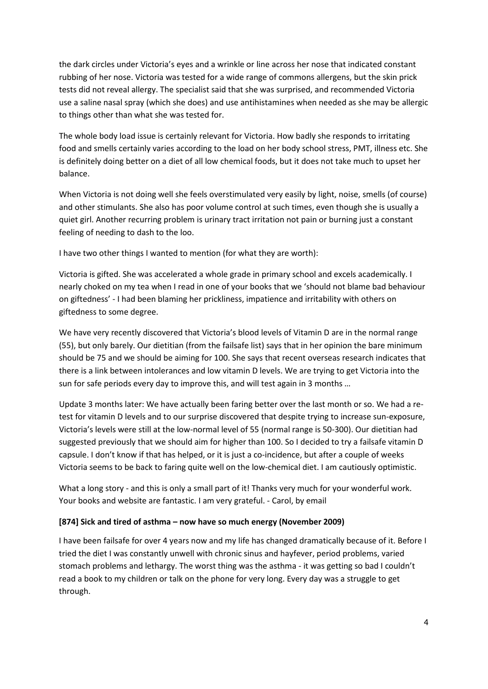the dark circles under Victoria's eyes and a wrinkle or line across her nose that indicated constant rubbing of her nose. Victoria was tested for a wide range of commons allergens, but the skin prick tests did not reveal allergy. The specialist said that she was surprised, and recommended Victoria use a saline nasal spray (which she does) and use antihistamines when needed as she may be allergic to things other than what she was tested for.

The whole body load issue is certainly relevant for Victoria. How badly she responds to irritating food and smells certainly varies according to the load on her body school stress, PMT, illness etc. She is definitely doing better on a diet of all low chemical foods, but it does not take much to upset her balance.

When Victoria is not doing well she feels overstimulated very easily by light, noise, smells (of course) and other stimulants. She also has poor volume control at such times, even though she is usually a quiet girl. Another recurring problem is urinary tract irritation not pain or burning just a constant feeling of needing to dash to the loo.

I have two other things I wanted to mention (for what they are worth):

Victoria is gifted. She was accelerated a whole grade in primary school and excels academically. I nearly choked on my tea when I read in one of your books that we 'should not blame bad behaviour on giftedness' - I had been blaming her prickliness, impatience and irritability with others on giftedness to some degree.

We have very recently discovered that Victoria's blood levels of Vitamin D are in the normal range (55), but only barely. Our dietitian (from the failsafe list) says that in her opinion the bare minimum should be 75 and we should be aiming for 100. She says that recent overseas research indicates that there is a link between intolerances and low vitamin D levels. We are trying to get Victoria into the sun for safe periods every day to improve this, and will test again in 3 months …

Update 3 months later: We have actually been faring better over the last month or so. We had a retest for vitamin D levels and to our surprise discovered that despite trying to increase sun-exposure, Victoria's levels were still at the low-normal level of 55 (normal range is 50-300). Our dietitian had suggested previously that we should aim for higher than 100. So I decided to try a failsafe vitamin D capsule. I don't know if that has helped, or it is just a co-incidence, but after a couple of weeks Victoria seems to be back to faring quite well on the low-chemical diet. I am cautiously optimistic.

What a long story - and this is only a small part of it! Thanks very much for your wonderful work. Your books and website are fantastic. I am very grateful. - Carol, by email

#### **[874] Sick and tired of asthma – now have so much energy (November 2009)**

I have been failsafe for over 4 years now and my life has changed dramatically because of it. Before I tried the diet I was constantly unwell with chronic sinus and hayfever, period problems, varied stomach problems and lethargy. The worst thing was the asthma - it was getting so bad I couldn't read a book to my children or talk on the phone for very long. Every day was a struggle to get through.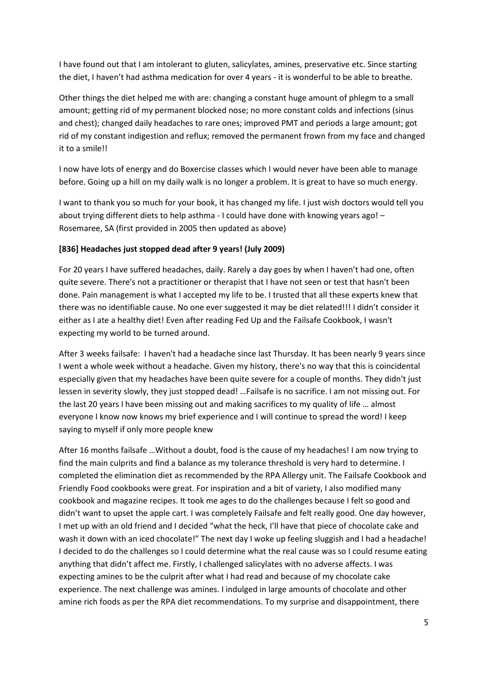I have found out that I am intolerant to gluten, salicylates, amines, preservative etc. Since starting the diet, I haven't had asthma medication for over 4 years - it is wonderful to be able to breathe.

Other things the diet helped me with are: changing a constant huge amount of phlegm to a small amount; getting rid of my permanent blocked nose; no more constant colds and infections (sinus and chest); changed daily headaches to rare ones; improved PMT and periods a large amount; got rid of my constant indigestion and reflux; removed the permanent frown from my face and changed it to a smile!!

I now have lots of energy and do Boxercise classes which I would never have been able to manage before. Going up a hill on my daily walk is no longer a problem. It is great to have so much energy.

I want to thank you so much for your book, it has changed my life. I just wish doctors would tell you about trying different diets to help asthma - I could have done with knowing years ago! – Rosemaree, SA (first provided in 2005 then updated as above)

#### **[836] Headaches just stopped dead after 9 years! (July 2009)**

For 20 years I have suffered headaches, daily. Rarely a day goes by when I haven't had one, often quite severe. There's not a practitioner or therapist that I have not seen or test that hasn't been done. Pain management is what I accepted my life to be. I trusted that all these experts knew that there was no identifiable cause. No one ever suggested it may be diet related!!! I didn't consider it either as I ate a healthy diet! Even after reading Fed Up and the Failsafe Cookbook, I wasn't expecting my world to be turned around.

After 3 weeks failsafe: I haven't had a headache since last Thursday. It has been nearly 9 years since I went a whole week without a headache. Given my history, there's no way that this is coincidental especially given that my headaches have been quite severe for a couple of months. They didn't just lessen in severity slowly, they just stopped dead! …Failsafe is no sacrifice. I am not missing out. For the last 20 years I have been missing out and making sacrifices to my quality of life … almost everyone I know now knows my brief experience and I will continue to spread the word! I keep saying to myself if only more people knew

After 16 months failsafe …Without a doubt, food is the cause of my headaches! I am now trying to find the main culprits and find a balance as my tolerance threshold is very hard to determine. I completed the elimination diet as recommended by the RPA Allergy unit. The Failsafe Cookbook and Friendly Food cookbooks were great. For inspiration and a bit of variety, I also modified many cookbook and magazine recipes. It took me ages to do the challenges because I felt so good and didn't want to upset the apple cart. I was completely Failsafe and felt really good. One day however, I met up with an old friend and I decided "what the heck, I'll have that piece of chocolate cake and wash it down with an iced chocolate!" The next day I woke up feeling sluggish and I had a headache! I decided to do the challenges so I could determine what the real cause was so I could resume eating anything that didn't affect me. Firstly, I challenged salicylates with no adverse affects. I was expecting amines to be the culprit after what I had read and because of my chocolate cake experience. The next challenge was amines. I indulged in large amounts of chocolate and other amine rich foods as per the RPA diet recommendations. To my surprise and disappointment, there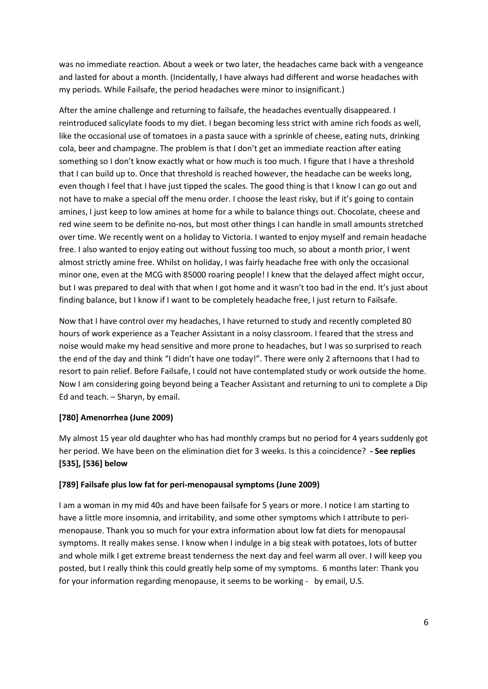was no immediate reaction. About a week or two later, the headaches came back with a vengeance and lasted for about a month. (Incidentally, I have always had different and worse headaches with my periods. While Failsafe, the period headaches were minor to insignificant.)

After the amine challenge and returning to failsafe, the headaches eventually disappeared. I reintroduced salicylate foods to my diet. I began becoming less strict with amine rich foods as well, like the occasional use of tomatoes in a pasta sauce with a sprinkle of cheese, eating nuts, drinking cola, beer and champagne. The problem is that I don't get an immediate reaction after eating something so I don't know exactly what or how much is too much. I figure that I have a threshold that I can build up to. Once that threshold is reached however, the headache can be weeks long, even though I feel that I have just tipped the scales. The good thing is that I know I can go out and not have to make a special off the menu order. I choose the least risky, but if it's going to contain amines, I just keep to low amines at home for a while to balance things out. Chocolate, cheese and red wine seem to be definite no-nos, but most other things I can handle in small amounts stretched over time. We recently went on a holiday to Victoria. I wanted to enjoy myself and remain headache free. I also wanted to enjoy eating out without fussing too much, so about a month prior, I went almost strictly amine free. Whilst on holiday, I was fairly headache free with only the occasional minor one, even at the MCG with 85000 roaring people! I knew that the delayed affect might occur, but I was prepared to deal with that when I got home and it wasn't too bad in the end. It's just about finding balance, but I know if I want to be completely headache free, I just return to Failsafe.

Now that I have control over my headaches, I have returned to study and recently completed 80 hours of work experience as a Teacher Assistant in a noisy classroom. I feared that the stress and noise would make my head sensitive and more prone to headaches, but I was so surprised to reach the end of the day and think "I didn't have one today!". There were only 2 afternoons that I had to resort to pain relief. Before Failsafe, I could not have contemplated study or work outside the home. Now I am considering going beyond being a Teacher Assistant and returning to uni to complete a Dip Ed and teach. – Sharyn, by email.

#### **[780] Amenorrhea (June 2009)**

My almost 15 year old daughter who has had monthly cramps but no period for 4 years suddenly got her period. We have been on the elimination diet for 3 weeks. Is this a coincidence? **- See replies [535], [536] below**

#### **[789] Failsafe plus low fat for peri-menopausal symptoms (June 2009)**

I am a woman in my mid 40s and have been failsafe for 5 years or more. I notice I am starting to have a little more insomnia, and irritability, and some other symptoms which I attribute to perimenopause. Thank you so much for your extra information about low fat diets for menopausal symptoms. It really makes sense. I know when I indulge in a big steak with potatoes, lots of butter and whole milk I get extreme breast tenderness the next day and feel warm all over. I will keep you posted, but I really think this could greatly help some of my symptoms. 6 months later: Thank you for your information regarding menopause, it seems to be working - by email, U.S.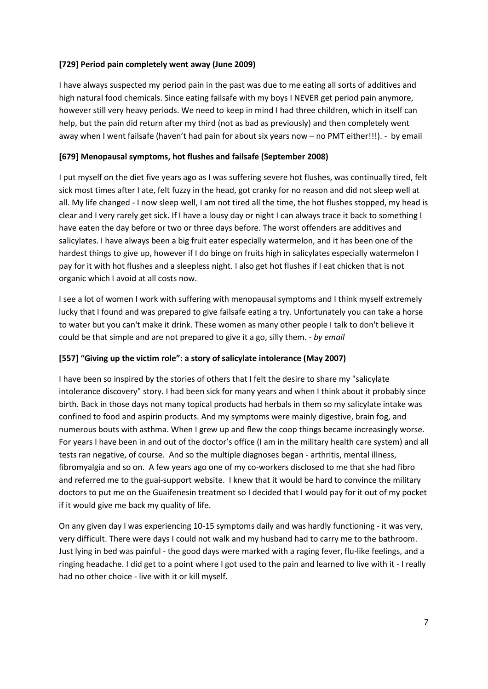## **[729] Period pain completely went away (June 2009)**

I have always suspected my period pain in the past was due to me eating all sorts of additives and high natural food chemicals. Since eating failsafe with my boys I NEVER get period pain anymore, however still very heavy periods. We need to keep in mind I had three children, which in itself can help, but the pain did return after my third (not as bad as previously) and then completely went away when I went failsafe (haven't had pain for about six years now – no PMT either!!!). - by email

## **[679] Menopausal symptoms, hot flushes and failsafe (September 2008)**

I put myself on the diet five years ago as I was suffering severe hot flushes, was continually tired, felt sick most times after I ate, felt fuzzy in the head, got cranky for no reason and did not sleep well at all. My life changed - I now sleep well, I am not tired all the time, the hot flushes stopped, my head is clear and I very rarely get sick. If I have a lousy day or night I can always trace it back to something I have eaten the day before or two or three days before. The worst offenders are additives and salicylates. I have always been a big fruit eater especially watermelon, and it has been one of the hardest things to give up, however if I do binge on fruits high in salicylates especially watermelon I pay for it with hot flushes and a sleepless night. I also get hot flushes if I eat chicken that is not organic which I avoid at all costs now.

I see a lot of women I work with suffering with menopausal symptoms and I think myself extremely lucky that I found and was prepared to give failsafe eating a try. Unfortunately you can take a horse to water but you can't make it drink. These women as many other people I talk to don't believe it could be that simple and are not prepared to give it a go, silly them. - *by email*

#### **[557] "Giving up the victim role": a story of salicylate intolerance (May 2007)**

I have been so inspired by the stories of others that I felt the desire to share my "salicylate intolerance discovery" story. I had been sick for many years and when I think about it probably since birth. Back in those days not many topical products had herbals in them so my salicylate intake was confined to food and aspirin products. And my symptoms were mainly digestive, brain fog, and numerous bouts with asthma. When I grew up and flew the coop things became increasingly worse. For years I have been in and out of the doctor's office (I am in the military health care system) and all tests ran negative, of course. And so the multiple diagnoses began - arthritis, mental illness, fibromyalgia and so on. A few years ago one of my co-workers disclosed to me that she had fibro and referred me to the guai-support website. I knew that it would be hard to convince the military doctors to put me on the Guaifenesin treatment so I decided that I would pay for it out of my pocket if it would give me back my quality of life.

On any given day I was experiencing 10-15 symptoms daily and was hardly functioning - it was very, very difficult. There were days I could not walk and my husband had to carry me to the bathroom. Just lying in bed was painful - the good days were marked with a raging fever, flu-like feelings, and a ringing headache. I did get to a point where I got used to the pain and learned to live with it - I really had no other choice - live with it or kill myself.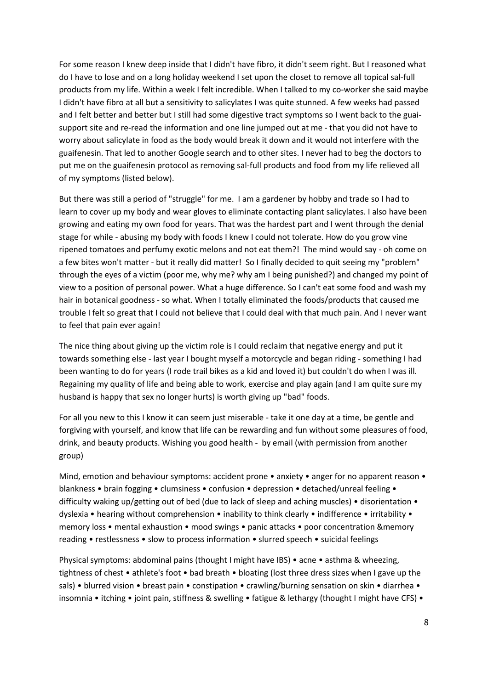For some reason I knew deep inside that I didn't have fibro, it didn't seem right. But I reasoned what do I have to lose and on a long holiday weekend I set upon the closet to remove all topical sal-full products from my life. Within a week I felt incredible. When I talked to my co-worker she said maybe I didn't have fibro at all but a sensitivity to salicylates I was quite stunned. A few weeks had passed and I felt better and better but I still had some digestive tract symptoms so I went back to the guaisupport site and re-read the information and one line jumped out at me - that you did not have to worry about salicylate in food as the body would break it down and it would not interfere with the guaifenesin. That led to another Google search and to other sites. I never had to beg the doctors to put me on the guaifenesin protocol as removing sal-full products and food from my life relieved all of my symptoms (listed below).

But there was still a period of "struggle" for me. I am a gardener by hobby and trade so I had to learn to cover up my body and wear gloves to eliminate contacting plant salicylates. I also have been growing and eating my own food for years. That was the hardest part and I went through the denial stage for while - abusing my body with foods I knew I could not tolerate. How do you grow vine ripened tomatoes and perfumy exotic melons and not eat them?! The mind would say - oh come on a few bites won't matter - but it really did matter! So I finally decided to quit seeing my "problem" through the eyes of a victim (poor me, why me? why am I being punished?) and changed my point of view to a position of personal power. What a huge difference. So I can't eat some food and wash my hair in botanical goodness - so what. When I totally eliminated the foods/products that caused me trouble I felt so great that I could not believe that I could deal with that much pain. And I never want to feel that pain ever again!

The nice thing about giving up the victim role is I could reclaim that negative energy and put it towards something else - last year I bought myself a motorcycle and began riding - something I had been wanting to do for years (I rode trail bikes as a kid and loved it) but couldn't do when I was ill. Regaining my quality of life and being able to work, exercise and play again (and I am quite sure my husband is happy that sex no longer hurts) is worth giving up "bad" foods.

For all you new to this I know it can seem just miserable - take it one day at a time, be gentle and forgiving with yourself, and know that life can be rewarding and fun without some pleasures of food, drink, and beauty products. Wishing you good health - by email (with permission from another group)

Mind, emotion and behaviour symptoms: accident prone • anxiety • anger for no apparent reason • blankness • brain fogging • clumsiness • confusion • depression • detached/unreal feeling • difficulty waking up/getting out of bed (due to lack of sleep and aching muscles) • disorientation • dyslexia • hearing without comprehension • inability to think clearly • indifference • irritability • memory loss • mental exhaustion • mood swings • panic attacks • poor concentration &memory reading • restlessness • slow to process information • slurred speech • suicidal feelings

Physical symptoms: abdominal pains (thought I might have IBS) • acne • asthma & wheezing, tightness of chest • athlete's foot • bad breath • bloating (lost three dress sizes when I gave up the sals) • blurred vision • breast pain • constipation • crawling/burning sensation on skin • diarrhea • insomnia • itching • joint pain, stiffness & swelling • fatigue & lethargy (thought I might have CFS) •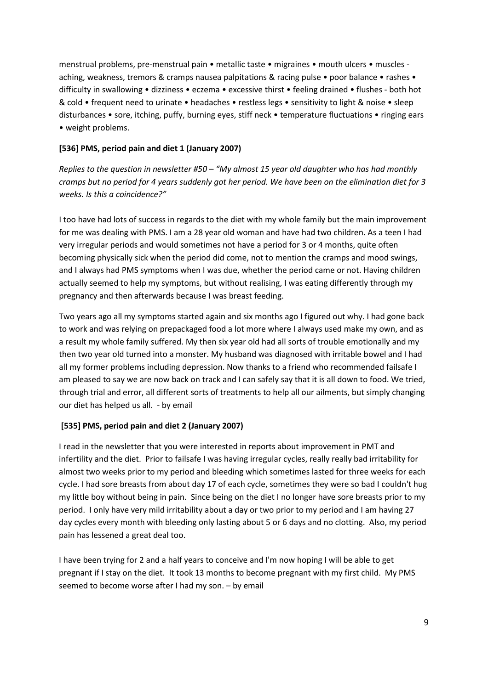menstrual problems, pre-menstrual pain • metallic taste • migraines • mouth ulcers • muscles aching, weakness, tremors & cramps nausea palpitations & racing pulse • poor balance • rashes • difficulty in swallowing • dizziness • eczema • excessive thirst • feeling drained • flushes - both hot & cold • frequent need to urinate • headaches • restless legs • sensitivity to light & noise • sleep disturbances • sore, itching, puffy, burning eyes, stiff neck • temperature fluctuations • ringing ears • weight problems.

## **[536] PMS, period pain and diet 1 (January 2007)**

*Replies to the question in newsletter #50 – "My almost 15 year old daughter who has had monthly cramps but no period for 4 years suddenly got her period. We have been on the elimination diet for 3 weeks. Is this a coincidence?"* 

I too have had lots of success in regards to the diet with my whole family but the main improvement for me was dealing with PMS. I am a 28 year old woman and have had two children. As a teen I had very irregular periods and would sometimes not have a period for 3 or 4 months, quite often becoming physically sick when the period did come, not to mention the cramps and mood swings, and I always had PMS symptoms when I was due, whether the period came or not. Having children actually seemed to help my symptoms, but without realising, I was eating differently through my pregnancy and then afterwards because I was breast feeding.

Two years ago all my symptoms started again and six months ago I figured out why. I had gone back to work and was relying on prepackaged food a lot more where I always used make my own, and as a result my whole family suffered. My then six year old had all sorts of trouble emotionally and my then two year old turned into a monster. My husband was diagnosed with irritable bowel and I had all my former problems including depression. Now thanks to a friend who recommended failsafe I am pleased to say we are now back on track and I can safely say that it is all down to food. We tried, through trial and error, all different sorts of treatments to help all our ailments, but simply changing our diet has helped us all. - by email

#### **[535] PMS, period pain and diet 2 (January 2007)**

I read in the newsletter that you were interested in reports about improvement in PMT and infertility and the diet. Prior to failsafe I was having irregular cycles, really really bad irritability for almost two weeks prior to my period and bleeding which sometimes lasted for three weeks for each cycle. I had sore breasts from about day 17 of each cycle, sometimes they were so bad I couldn't hug my little boy without being in pain. Since being on the diet I no longer have sore breasts prior to my period. I only have very mild irritability about a day or two prior to my period and I am having 27 day cycles every month with bleeding only lasting about 5 or 6 days and no clotting. Also, my period pain has lessened a great deal too.

I have been trying for 2 and a half years to conceive and I'm now hoping I will be able to get pregnant if I stay on the diet. It took 13 months to become pregnant with my first child. My PMS seemed to become worse after I had my son. – by email